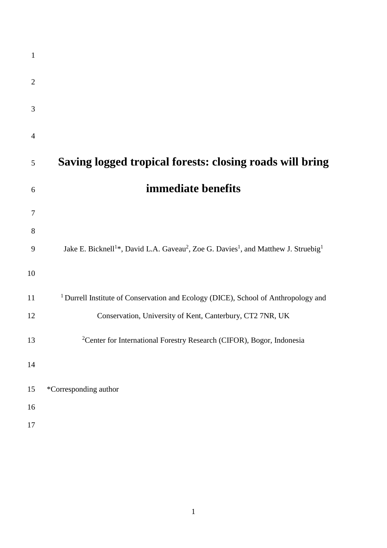| $\mathbf{1}$   |                                                                                                                                     |
|----------------|-------------------------------------------------------------------------------------------------------------------------------------|
| $\overline{2}$ |                                                                                                                                     |
| 3              |                                                                                                                                     |
| 4              |                                                                                                                                     |
| 5              | Saving logged tropical forests: closing roads will bring                                                                            |
| 6              | immediate benefits                                                                                                                  |
| 7              |                                                                                                                                     |
| 8              |                                                                                                                                     |
| 9              | Jake E. Bicknell <sup>1</sup> *, David L.A. Gaveau <sup>2</sup> , Zoe G. Davies <sup>1</sup> , and Matthew J. Struebig <sup>1</sup> |
| 10             |                                                                                                                                     |
| 11             | <sup>1</sup> Durrell Institute of Conservation and Ecology (DICE), School of Anthropology and                                       |
| 12             | Conservation, University of Kent, Canterbury, CT2 7NR, UK                                                                           |
| 13             | <sup>2</sup> Center for International Forestry Research (CIFOR), Bogor, Indonesia                                                   |
| 14             |                                                                                                                                     |
| 15             | *Corresponding author                                                                                                               |
| 16             |                                                                                                                                     |
| 17             |                                                                                                                                     |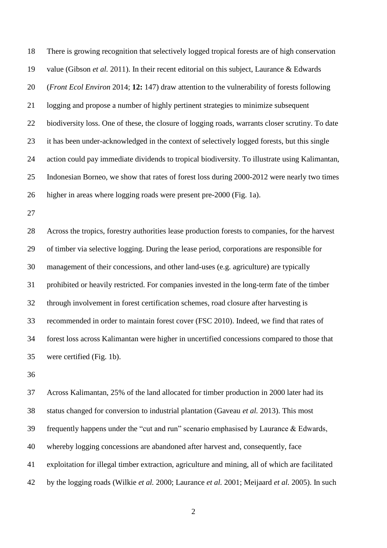There is growing recognition that selectively logged tropical forests are of high conservation value (Gibson *et al.* 2011). In their recent editorial on this subject, Laurance & Edwards (*Front Ecol Environ* 2014; **12:** 147) draw attention to the vulnerability of forests following logging and propose a number of highly pertinent strategies to minimize subsequent biodiversity loss. One of these, the closure of logging roads, warrants closer scrutiny. To date it has been under-acknowledged in the context of selectively logged forests, but this single action could pay immediate dividends to tropical biodiversity. To illustrate using Kalimantan, Indonesian Borneo, we show that rates of forest loss during 2000-2012 were nearly two times higher in areas where logging roads were present pre-2000 (Fig. 1a).

 Across the tropics, forestry authorities lease production forests to companies, for the harvest of timber via selective logging. During the lease period, corporations are responsible for management of their concessions, and other land-uses (e.g. agriculture) are typically prohibited or heavily restricted. For companies invested in the long-term fate of the timber through involvement in forest certification schemes, road closure after harvesting is recommended in order to maintain forest cover (FSC 2010). Indeed, we find that rates of forest loss across Kalimantan were higher in uncertified concessions compared to those that were certified (Fig. 1b).

 Across Kalimantan, 25% of the land allocated for timber production in 2000 later had its status changed for conversion to industrial plantation (Gaveau *et al.* 2013). This most frequently happens under the "cut and run" scenario emphasised by Laurance & Edwards, whereby logging concessions are abandoned after harvest and, consequently, face exploitation for illegal timber extraction, agriculture and mining, all of which are facilitated by the logging roads (Wilkie *et al.* 2000; Laurance *et al.* 2001; Meijaard *et al.* 2005). In such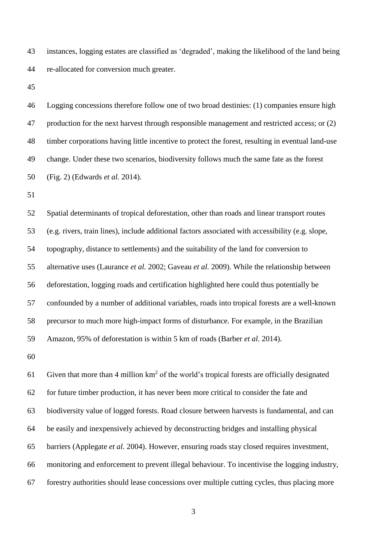instances, logging estates are classified as 'degraded', making the likelihood of the land being re-allocated for conversion much greater.

 Logging concessions therefore follow one of two broad destinies: (1) companies ensure high 47 production for the next harvest through responsible management and restricted access; or (2) timber corporations having little incentive to protect the forest, resulting in eventual land-use change. Under these two scenarios, biodiversity follows much the same fate as the forest (Fig. 2) (Edwards *et al.* 2014).

 Spatial determinants of tropical deforestation, other than roads and linear transport routes (e.g. rivers, train lines), include additional factors associated with accessibility (e.g. slope, topography, distance to settlements) and the suitability of the land for conversion to alternative uses (Laurance *et al.* 2002; Gaveau *et al.* 2009). While the relationship between deforestation, logging roads and certification highlighted here could thus potentially be confounded by a number of additional variables, roads into tropical forests are a well-known precursor to much more high-impact forms of disturbance. For example, in the Brazilian Amazon, 95% of deforestation is within 5 km of roads (Barber *et al.* 2014).

61 Given that more than 4 million  $km^2$  of the world's tropical forests are officially designated for future timber production, it has never been more critical to consider the fate and biodiversity value of logged forests. Road closure between harvests is fundamental, and can be easily and inexpensively achieved by deconstructing bridges and installing physical barriers (Applegate *et al.* 2004). However, ensuring roads stay closed requires investment, monitoring and enforcement to prevent illegal behaviour. To incentivise the logging industry, forestry authorities should lease concessions over multiple cutting cycles, thus placing more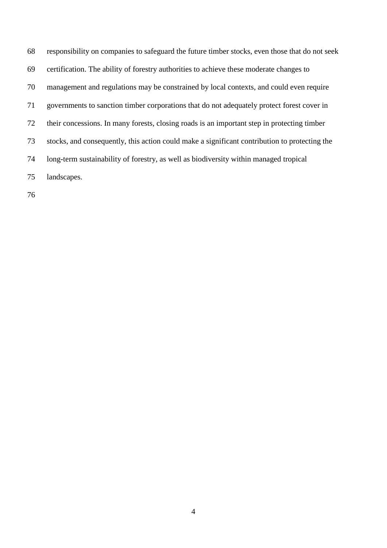responsibility on companies to safeguard the future timber stocks, even those that do not seek certification. The ability of forestry authorities to achieve these moderate changes to management and regulations may be constrained by local contexts, and could even require governments to sanction timber corporations that do not adequately protect forest cover in their concessions. In many forests, closing roads is an important step in protecting timber stocks, and consequently, this action could make a significant contribution to protecting the long-term sustainability of forestry, as well as biodiversity within managed tropical landscapes.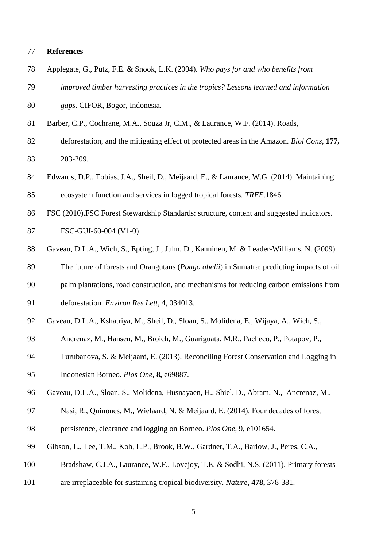## **References**

| 78  | Applegate, G., Putz, F.E. & Snook, L.K. (2004). Who pays for and who benefits from                 |
|-----|----------------------------------------------------------------------------------------------------|
| 79  | improved timber harvesting practices in the tropics? Lessons learned and information               |
| 80  | gaps. CIFOR, Bogor, Indonesia.                                                                     |
| 81  | Barber, C.P., Cochrane, M.A., Souza Jr, C.M., & Laurance, W.F. (2014). Roads,                      |
| 82  | deforestation, and the mitigating effect of protected areas in the Amazon. Biol Cons, 177,         |
| 83  | 203-209.                                                                                           |
| 84  | Edwards, D.P., Tobias, J.A., Sheil, D., Meijaard, E., & Laurance, W.G. (2014). Maintaining         |
| 85  | ecosystem function and services in logged tropical forests. TREE.1846.                             |
| 86  | FSC (2010). FSC Forest Stewardship Standards: structure, content and suggested indicators.         |
| 87  | FSC-GUI-60-004 (V1-0)                                                                              |
| 88  | Gaveau, D.L.A., Wich, S., Epting, J., Juhn, D., Kanninen, M. & Leader-Williams, N. (2009).         |
| 89  | The future of forests and Orangutans ( <i>Pongo abelii</i> ) in Sumatra: predicting impacts of oil |
| 90  | palm plantations, road construction, and mechanisms for reducing carbon emissions from             |
| 91  | deforestation. Environ Res Lett, 4, 034013.                                                        |
| 92  | Gaveau, D.L.A., Kshatriya, M., Sheil, D., Sloan, S., Molidena, E., Wijaya, A., Wich, S.,           |
| 93  | Ancrenaz, M., Hansen, M., Broich, M., Guariguata, M.R., Pacheco, P., Potapov, P.,                  |
| 94  | Turubanova, S. & Meijaard, E. (2013). Reconciling Forest Conservation and Logging in               |
| 95  | Indonesian Borneo. Plos One, 8, e69887.                                                            |
| 96  | Gaveau, D.L.A., Sloan, S., Molidena, Husnayaen, H., Shiel, D., Abram, N., Ancrenaz, M.,            |
| 97  | Nasi, R., Quinones, M., Wielaard, N. & Meijaard, E. (2014). Four decades of forest                 |
| 98  | persistence, clearance and logging on Borneo. Plos One, 9, e101654.                                |
| 99  | Gibson, L., Lee, T.M., Koh, L.P., Brook, B.W., Gardner, T.A., Barlow, J., Peres, C.A.,             |
| 100 | Bradshaw, C.J.A., Laurance, W.F., Lovejoy, T.E. & Sodhi, N.S. (2011). Primary forests              |
| 101 | are irreplaceable for sustaining tropical biodiversity. Nature, 478, 378-381.                      |
|     |                                                                                                    |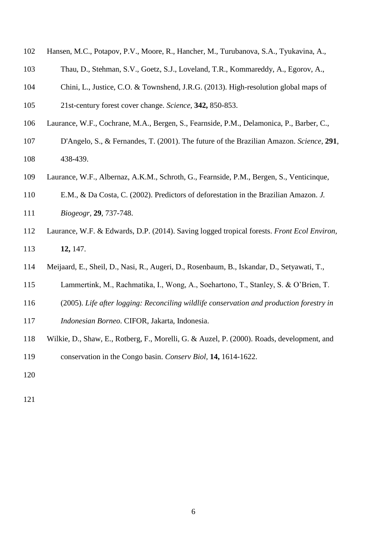- Hansen, M.C., Potapov, P.V., Moore, R., Hancher, M., Turubanova, S.A., Tyukavina, A.,
- Thau, D., Stehman, S.V., Goetz, S.J., Loveland, T.R., Kommareddy, A., Egorov, A.,
- Chini, L., Justice, C.O. & Townshend, J.R.G. (2013). High-resolution global maps of
- 21st-century forest cover change. *Science,* **342,** 850-853.
- Laurance, W.F., Cochrane, M.A., Bergen, S., Fearnside, P.M., Delamonica, P., Barber, C.,
- D'Angelo, S., & Fernandes, T. (2001). The future of the Brazilian Amazon. *Science*, **291**, 438-439.
- Laurance, W.F., Albernaz, A.K.M., Schroth, G., Fearnside, P.M., Bergen, S., Venticinque,
- E.M., & Da Costa, C. (2002). Predictors of deforestation in the Brazilian Amazon. *J.*
- *Biogeogr,* **29**, 737-748.
- Laurance, W.F. & Edwards, D.P. (2014). Saving logged tropical forests. *Front Ecol Environ,* **12,** 147.
- Meijaard, E., Sheil, D., Nasi, R., Augeri, D., Rosenbaum, B., Iskandar, D., Setyawati, T.,
- Lammertink, M., Rachmatika, I., Wong, A., Soehartono, T., Stanley, S. & O'Brien, T.
- (2005). *Life after logging: Reconciling wildlife conservation and production forestry in*
- *Indonesian Borneo*. CIFOR, Jakarta, Indonesia.
- Wilkie, D., Shaw, E., Rotberg, F., Morelli, G. & Auzel, P. (2000). Roads, development, and
- conservation in the Congo basin. *Conserv Biol,* **14,** 1614-1622.
-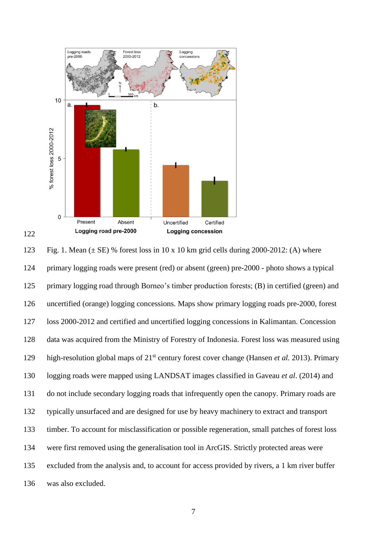

123 Fig. 1. Mean  $(\pm S$ E) % forest loss in 10 x 10 km grid cells during 2000-2012: (A) where primary logging roads were present (red) or absent (green) pre-2000 - photo shows a typical primary logging road through Borneo's timber production forests; (B) in certified (green) and uncertified (orange) logging concessions. Maps show primary logging roads pre-2000, forest loss 2000-2012 and certified and uncertified logging concessions in Kalimantan. Concession data was acquired from the Ministry of Forestry of Indonesia. Forest loss was measured using high-resolution global maps of 21<sup>st</sup> century forest cover change (Hansen *et al.* 2013). Primary logging roads were mapped using LANDSAT images classified in Gaveau *et al*. (2014) and do not include secondary logging roads that infrequently open the canopy. Primary roads are typically unsurfaced and are designed for use by heavy machinery to extract and transport timber. To account for misclassification or possible regeneration, small patches of forest loss were first removed using the generalisation tool in ArcGIS. Strictly protected areas were excluded from the analysis and, to account for access provided by rivers, a 1 km river buffer was also excluded.